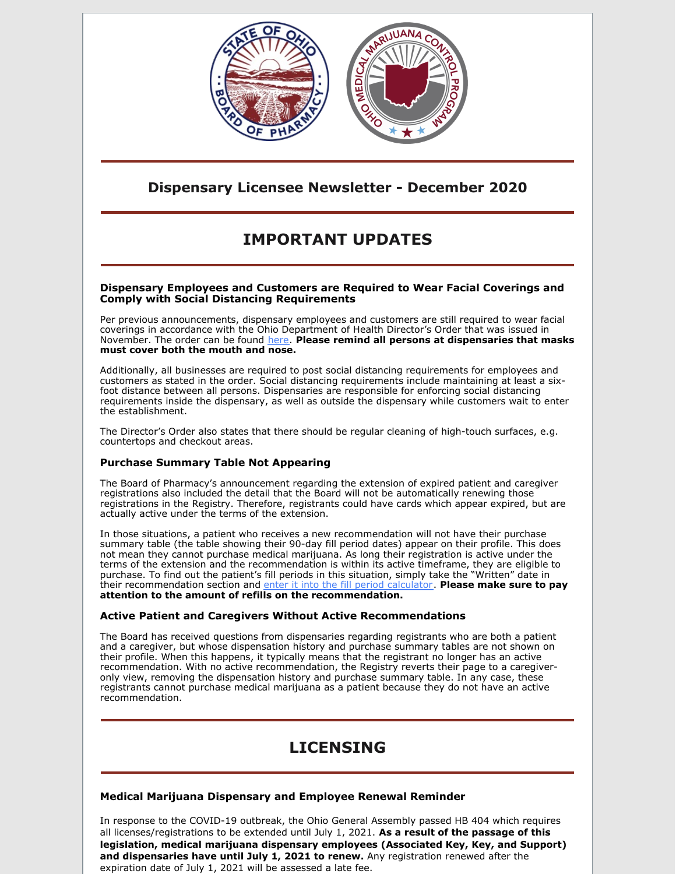

# **Dispensary Licensee Newsletter - December 2020**

# **IMPORTANT UPDATES**

#### **Dispensary Employees and Customers are Required to Wear Facial Coverings and Comply with Social Distancing Requirements**

Per previous announcements, dispensary employees and customers are still required to wear facial coverings in accordance with the Ohio Department of Health Director's Order that was issued in November. The order can be found [here](https://content.govdelivery.com/attachments/OHOOD/2020/11/13/file_attachments/1601517/20201113174433_001.pdf). **Please remind all persons at dispensaries that masks must cover both the mouth and nose.**

Additionally, all businesses are required to post social distancing requirements for employees and customers as stated in the order. Social distancing requirements include maintaining at least a sixfoot distance between all persons. Dispensaries are responsible for enforcing social distancing requirements inside the dispensary, as well as outside the dispensary while customers wait to enter the establishment.

The Director's Order also states that there should be regular cleaning of high-touch surfaces, e.g. countertops and checkout areas.

## **Purchase Summary Table Not Appearing**

The Board of Pharmacy's announcement regarding the extension of expired patient and caregiver registrations also included the detail that the Board will not be automatically renewing those registrations in the Registry. Therefore, registrants could have cards which appear expired, but are actually active under the terms of the extension.

In those situations, a patient who receives a new recommendation will not have their purchase summary table (the table showing their 90-day fill period dates) appear on their profile. This does not mean they cannot purchase medical marijuana. As long their registration is active under the terms of the extension and the recommendation is within its active timeframe, they are eligible to purchase. To find out the patient's fill periods in this situation, simply take the "Written" date in their recommendation section and enter it into the fill period [calculator](https://www.medicalmarijuana.ohio.gov/Documents/90DaySupply/Documents/Patient Fill Period Calculator - Adobe PDF Version.pdf). **Please make sure to pay attention to the amount of refills on the recommendation.**

#### **Active Patient and Caregivers Without Active Recommendations**

The Board has received questions from dispensaries regarding registrants who are both a patient and a caregiver, but whose dispensation history and purchase summary tables are not shown on their profile. When this happens, it typically means that the registrant no longer has an active recommendation. With no active recommendation, the Registry reverts their page to a caregiveronly view, removing the dispensation history and purchase summary table. In any case, these registrants cannot purchase medical marijuana as a patient because they do not have an active recommendation.

# **LICENSING**

## **Medical Marijuana Dispensary and Employee Renewal Reminder**

In response to the COVID-19 outbreak, the Ohio General Assembly passed HB 404 which requires all licenses/registrations to be extended until July 1, 2021. **As a result of the passage of this legislation, medical marijuana dispensary employees (Associated Key, Key, and Support) and dispensaries have until July 1, 2021 to renew.** Any registration renewed after the expiration date of July 1, 2021 will be assessed a late fee.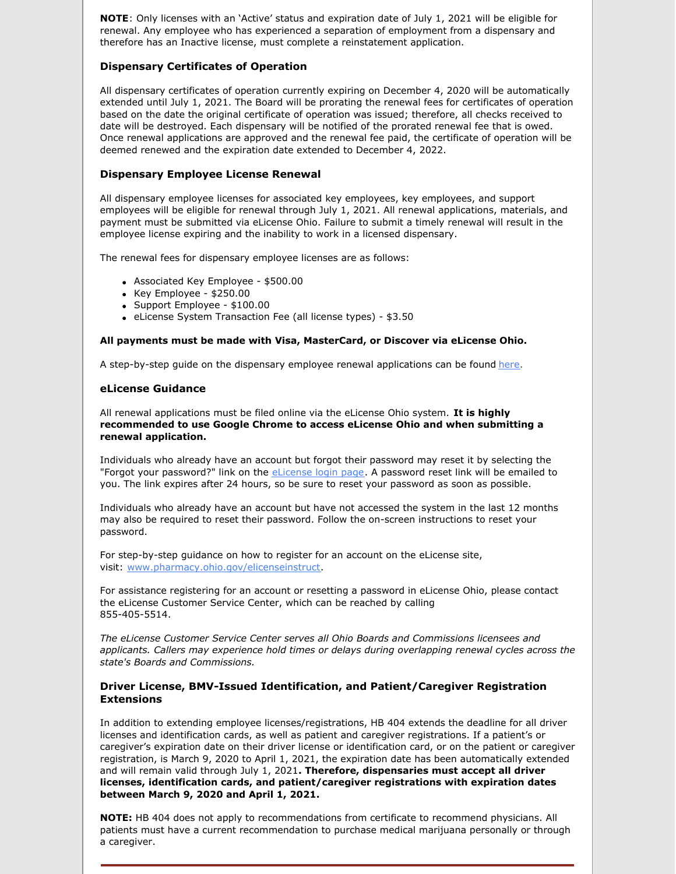**NOTE**: Only licenses with an 'Active' status and expiration date of July 1, 2021 will be eligible for renewal. Any employee who has experienced a separation of employment from a dispensary and therefore has an Inactive license, must complete a reinstatement application.

### **Dispensary Certificates of Operation**

All dispensary certificates of operation currently expiring on December 4, 2020 will be automatically extended until July 1, 2021. The Board will be prorating the renewal fees for certificates of operation based on the date the original certificate of operation was issued; therefore, all checks received to date will be destroyed. Each dispensary will be notified of the prorated renewal fee that is owed. Once renewal applications are approved and the renewal fee paid, the certificate of operation will be deemed renewed and the expiration date extended to December 4, 2022.

#### **Dispensary Employee License Renewal**

All dispensary employee licenses for associated key employees, key employees, and support employees will be eligible for renewal through July 1, 2021. All renewal applications, materials, and payment must be submitted via eLicense Ohio. Failure to submit a timely renewal will result in the employee license expiring and the inability to work in a licensed dispensary.

The renewal fees for dispensary employee licenses are as follows:

- Associated Key Employee \$500.00
- $\bullet$  Key Employee \$250.00
- Support Employee \$100.00
- eLicense System Transaction Fee (all license types) \$3.50

#### **All payments must be made with Visa, MasterCard, or Discover via eLicense Ohio.**

A step-by-step guide on the dispensary employee renewal applications can be found [here](https://gcc01.safelinks.protection.outlook.com/?url=https%3A%2F%2Fmedicalmarijuana.ohio.gov%2FDocuments%2FLicenseeResources%2FDispensary%2520Licensee%2520Resources%2FDispensary%2520%26%2520Employee%2520License%2520Renewal%2FeLicense%2520Guide%2520-%2520Dispensary%2520Employee%2520Renewal%2520Application.pdf&data=02%7C01%7CKarrie.Southard%40pharmacy.ohio.gov%7C0a9c0b504ff14c92bb8508d850da9d6e%7C50f8fcc494d84f0784eb36ed57c7c8a2%7C0%7C1%7C637348247172810432&sdata=kWnD4VlLtUuq8esnfBoWHFYGemf0qyAhVI1KuqwH5T0%3D&reserved=0).

#### **eLicense Guidance**

All renewal applications must be filed online via the eLicense Ohio system. **It is highly recommended to use Google Chrome to access eLicense Ohio and when submitting a renewal application.**

Individuals who already have an account but forgot their password may reset it by selecting the "Forgot your password?" link on the *[eLicense](https://gcc01.safelinks.protection.outlook.com/?url=https%3A%2F%2Felicense.ohio.gov%2Foh_communitieslogin&data=02%7C01%7CKarrie.Southard%40pharmacy.ohio.gov%7C0a9c0b504ff14c92bb8508d850da9d6e%7C50f8fcc494d84f0784eb36ed57c7c8a2%7C0%7C1%7C637348247172820384&sdata=9h6TOolYIuSwzxdgBOGi57dWLVFgXQ4G%2FTLSziV1GWE%3D&reserved=0) login page*. A password reset link will be emailed to you. The link expires after 24 hours, so be sure to reset your password as soon as possible.

Individuals who already have an account but have not accessed the system in the last 12 months may also be required to reset their password. Follow the on-screen instructions to reset your password.

For step-by-step guidance on how to register for an account on the eLicense site, visit: [www.pharmacy.ohio.gov/elicenseinstruct](https://gcc01.safelinks.protection.outlook.com/?url=http%3A%2F%2Fwww.pharmacy.ohio.gov%2Felicenseinstruct&data=02%7C01%7CKarrie.Southard%40pharmacy.ohio.gov%7C0a9c0b504ff14c92bb8508d850da9d6e%7C50f8fcc494d84f0784eb36ed57c7c8a2%7C0%7C1%7C637348247172830335&sdata=2MznB%2B4%2BRN%2FajnYPZHhVz6XRq93%2BwGBR%2FbnwPikuw1k%3D&reserved=0).

For assistance registering for an account or resetting a password in eLicense Ohio, please contact the eLicense Customer Service Center, which can be reached by calling 855-405-5514.

*The eLicense Customer Service Center serves all Ohio Boards and Commissions licensees and applicants. Callers may experience hold times or delays during overlapping renewal cycles across the state's Boards and Commissions.*

### **Driver License, BMV-Issued Identification, and Patient/Caregiver Registration Extensions**

In addition to extending employee licenses/registrations, HB 404 extends the deadline for all driver licenses and identification cards, as well as patient and caregiver registrations. If a patient's or caregiver's expiration date on their driver license or identification card, or on the patient or caregiver registration, is March 9, 2020 to April 1, 2021, the expiration date has been automatically extended and will remain valid through July 1, 2021**. Therefore, dispensaries must accept all driver licenses, identification cards, and patient/caregiver registrations with expiration dates between March 9, 2020 and April 1, 2021.**

**NOTE:** HB 404 does not apply to recommendations from certificate to recommend physicians. All patients must have a current recommendation to purchase medical marijuana personally or through a caregiver.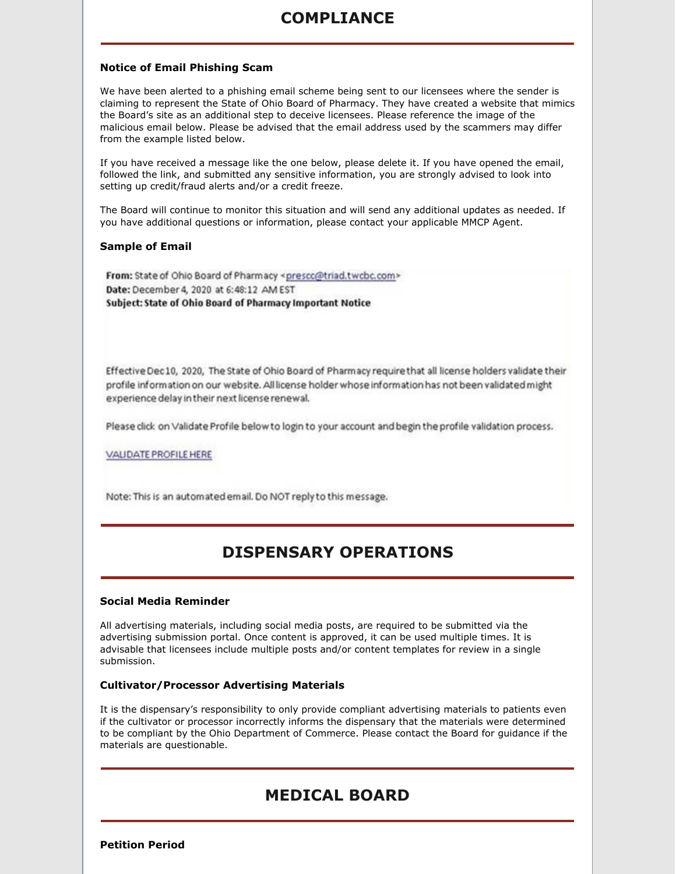# **COMPLIANCE**

### **Notice of Email Phishing Scam**

We have been alerted to a phishing email scheme being sent to our licensees where the sender is claiming to represent the State of Ohio Board of Pharmacy. They have created a website that mimics the Board's site as an additional step to deceive licensees. Please reference the image of the malicious email below. Please be advised that the email address used by the scammers may differ from the example listed below.

If you have received a message like the one below, please delete it. If you have opened the email, followed the link, and submitted any sensitive information, you are strongly advised to look into setting up credit/fraud alerts and/or a credit freeze.

The Board will continue to monitor this situation and will send any additional updates as needed. If you have additional questions or information, please contact your applicable MMCP Agent.

#### **Sample of Email**

From: State of Ohio Board of Pharmacy <prescc@triad.twcbc.com> Date: December 4, 2020 at 6:48:12 AM EST Subject: State of Ohio Board of Pharmacy Important Notice

Effective Dec10, 2020, The State of Ohio Board of Pharmacy require that all license holders validate their profile information on our website. All license holder whose information has not been validated might experience delay in their next license renewal.

Please dick on Validate Profile below to login to your account and begin the profile validation process.

VALIDATE PROFILE HERE

Note: This is an automated email. Do NOT reply to this message.

# **DISPENSARY OPERATIONS**

### **Social Media Reminder**

All advertising materials, including social media posts, are required to be submitted via the advertising submission portal. Once content is approved, it can be used multiple times. It is advisable that licensees include multiple posts and/or content templates for review in a single submission.

### **Cultivator/Processor Advertising Materials**

It is the dispensary's responsibility to only provide compliant advertising materials to patients even if the cultivator or processor incorrectly informs the dispensary that the materials were determined to be compliant by the Ohio Department of Commerce. Please contact the Board for guidance if the materials are questionable.

# **MEDICAL BOARD**

**Petition Period**